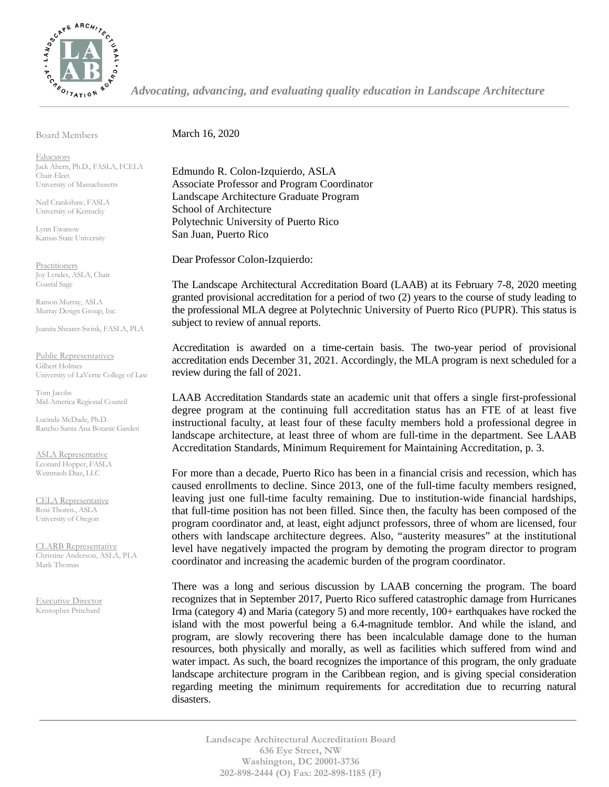

*Advocating, advancing, and evaluating quality education in Landscape Architecture*

Board Members

March 16, 2020

**Educators** Jack Ahern, Ph.D., FASLA, FCELA Chair-Elect University of Massachusetts

Ned Crankshaw, FASLA University of Kentucky

Lynn Ewanow Kansas State University

**Practitioners** Joy Lyndes, ASLA, Chair Coastal Sage

Ramon Murray, ASLA Murray Design Group, Inc.

Juanita Shearer-Swink, FASLA, PLA

Public Representatives Gilbert Holmes University of LaVerne College of Law

Tom Jacobs Mid-America Regional Council

Lucinda McDade, Ph.D. Rancho Santa Ana Botanic Garden

ASLA Representative Leonard Hopper, FASLA Weintraub Diaz, LLC

CELA Representative Roxi Thoren., ASLA University of Oregon

CLARB Representative Christine Anderson, ASLA, PLA Mark Thomas

Executive Director Kristopher Pritchard

Edmundo R. Colon-Izquierdo, ASLA Associate Professor and Program Coordinator Landscape Architecture Graduate Program School of Architecture Polytechnic University of Puerto Rico San Juan, Puerto Rico

Dear Professor Colon-Izquierdo:

The Landscape Architectural Accreditation Board (LAAB) at its February 7-8, 2020 meeting granted provisional accreditation for a period of two (2) years to the course of study leading to the professional MLA degree at Polytechnic University of Puerto Rico (PUPR). This status is subject to review of annual reports.

Accreditation is awarded on a time-certain basis. The two-year period of provisional accreditation ends December 31, 2021. Accordingly, the MLA program is next scheduled for a review during the fall of 2021.

LAAB Accreditation Standards state an academic unit that offers a single first-professional degree program at the continuing full accreditation status has an FTE of at least five instructional faculty, at least four of these faculty members hold a professional degree in landscape architecture, at least three of whom are full-time in the department. See LAAB Accreditation Standards, Minimum Requirement for Maintaining Accreditation, p. 3.

For more than a decade, Puerto Rico has been in a financial crisis and recession, which has caused enrollments to decline. Since 2013, one of the full-time faculty members resigned, leaving just one full-time faculty remaining. Due to institution-wide financial hardships, that full-time position has not been filled. Since then, the faculty has been composed of the program coordinator and, at least, eight adjunct professors, three of whom are licensed, four others with landscape architecture degrees. Also, "austerity measures" at the institutional level have negatively impacted the program by demoting the program director to program coordinator and increasing the academic burden of the program coordinator.

There was a long and serious discussion by LAAB concerning the program. The board recognizes that in September 2017, Puerto Rico suffered catastrophic damage from Hurricanes Irma (category 4) and Maria (category 5) and more recently, 100+ earthquakes have rocked the island with the most powerful being a 6.4-magnitude temblor. And while the island, and program, are slowly recovering there has been incalculable damage done to the human resources, both physically and morally, as well as facilities which suffered from wind and water impact. As such, the board recognizes the importance of this program, the only graduate landscape architecture program in the Caribbean region, and is giving special consideration regarding meeting the minimum requirements for accreditation due to recurring natural disasters.

**Landscape Architectural Accreditation Board 636 Eye Street, NW Washington, DC 20001-3736 202-898-2444 (O) Fax: 202-898-1185 (F)**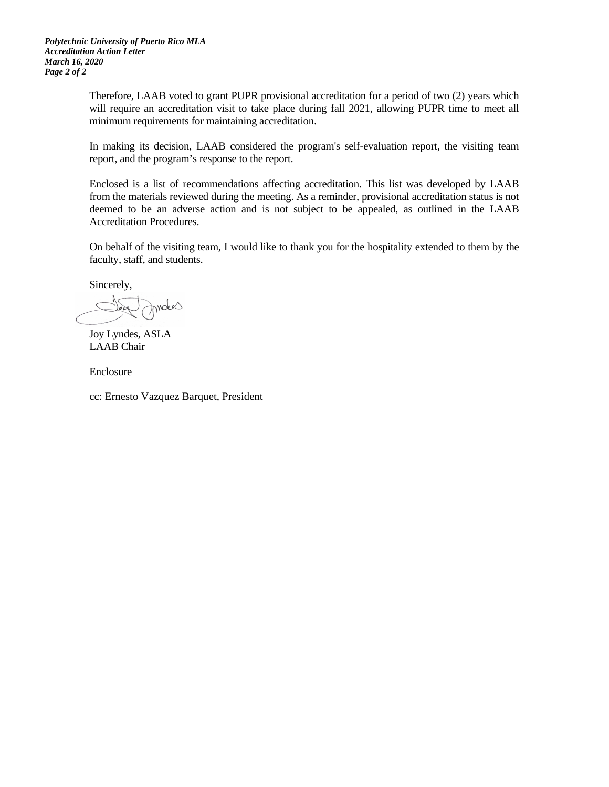*Polytechnic University of Puerto Rico MLA Accreditation Action Letter March 16, 2020 Page 2 of 2* 

> Therefore, LAAB voted to grant PUPR provisional accreditation for a period of two (2) years which will require an accreditation visit to take place during fall 2021, allowing PUPR time to meet all minimum requirements for maintaining accreditation.

> In making its decision, LAAB considered the program's self-evaluation report, the visiting team report, and the program's response to the report.

> Enclosed is a list of recommendations affecting accreditation. This list was developed by LAAB from the materials reviewed during the meeting. As a reminder, provisional accreditation status is not deemed to be an adverse action and is not subject to be appealed, as outlined in the LAAB Accreditation Procedures.

> On behalf of the visiting team, I would like to thank you for the hospitality extended to them by the faculty, staff, and students.

Sincerely,

moters

Joy Lyndes, ASLA LAAB Chair

Enclosure

cc: Ernesto Vazquez Barquet, President